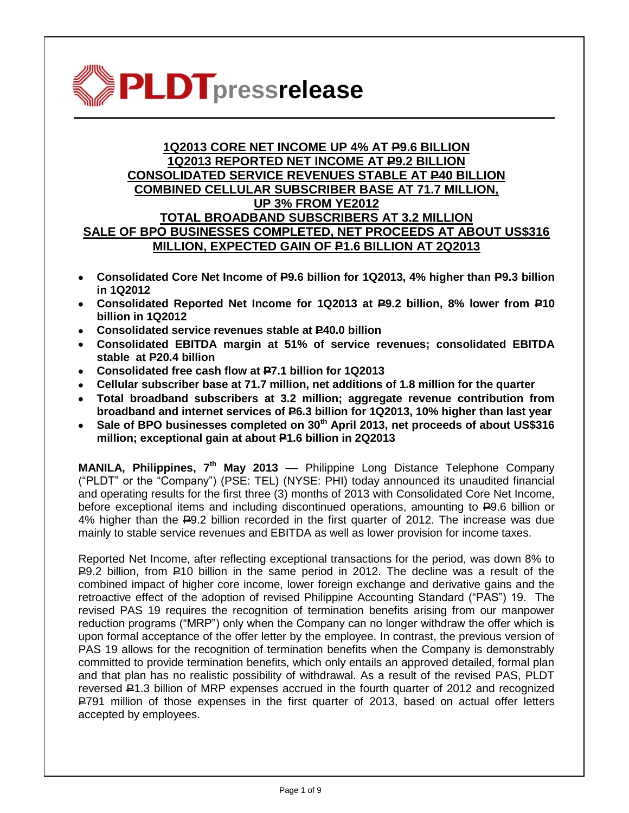

# **1Q2013 CORE NET INCOME UP 4% AT P9.6 BILLION 1Q2013 REPORTED NET INCOME AT P9.2 BILLION CONSOLIDATED SERVICE REVENUES STABLE AT P40 BILLION COMBINED CELLULAR SUBSCRIBER BASE AT 71.7 MILLION, UP 3% FROM YE2012 TOTAL BROADBAND SUBSCRIBERS AT 3.2 MILLION SALE OF BPO BUSINESSES COMPLETED, NET PROCEEDS AT ABOUT US\$316 MILLION, EXPECTED GAIN OF P1.6 BILLION AT 2Q2013**

- **Consolidated Core Net Income of P9.6 billion for 1Q2013, 4% higher than P9.3 billion in 1Q2012**
- **Consolidated Reported Net Income for 1Q2013 at P9.2 billion, 8% lower from P10 billion in 1Q2012**
- **Consolidated service revenues stable at P40.0 billion**
- **Consolidated EBITDA margin at 51% of service revenues; consolidated EBITDA stable at P20.4 billion**
- **Consolidated free cash flow at P7.1 billion for 1Q2013**
- **Cellular subscriber base at 71.7 million, net additions of 1.8 million for the quarter**
- **Total broadband subscribers at 3.2 million; aggregate revenue contribution from broadband and internet services of P6.3 billion for 1Q2013, 10% higher than last year**
- **Sale of BPO businesses completed on 30th April 2013, net proceeds of about US\$316 million; exceptional gain at about P1.6 billion in 2Q2013**

**MANILA, Philippines, 7<sup>th</sup> May 2013** — Philippine Long Distance Telephone Company ("PLDT" or the "Company") (PSE: TEL) (NYSE: PHI) today announced its unaudited financial and operating results for the first three (3) months of 2013 with Consolidated Core Net Income, before exceptional items and including discontinued operations, amounting to  $\overline{P}9.6$  billion or 4% higher than the P9.2 billion recorded in the first quarter of 2012. The increase was due mainly to stable service revenues and EBITDA as well as lower provision for income taxes.

Reported Net Income, after reflecting exceptional transactions for the period, was down 8% to  $R$ 9.2 billion, from  $R$ 10 billion in the same period in 2012. The decline was a result of the combined impact of higher core income, lower foreign exchange and derivative gains and the retroactive effect of the adoption of revised Philippine Accounting Standard ("PAS") 19. The revised PAS 19 requires the recognition of termination benefits arising from our manpower reduction programs ("MRP") only when the Company can no longer withdraw the offer which is upon formal acceptance of the offer letter by the employee. In contrast, the previous version of PAS 19 allows for the recognition of termination benefits when the Company is demonstrably committed to provide termination benefits, which only entails an approved detailed, formal plan and that plan has no realistic possibility of withdrawal. As a result of the revised PAS, PLDT reversed P1.3 billion of MRP expenses accrued in the fourth quarter of 2012 and recognized P791 million of those expenses in the first quarter of 2013, based on actual offer letters accepted by employees.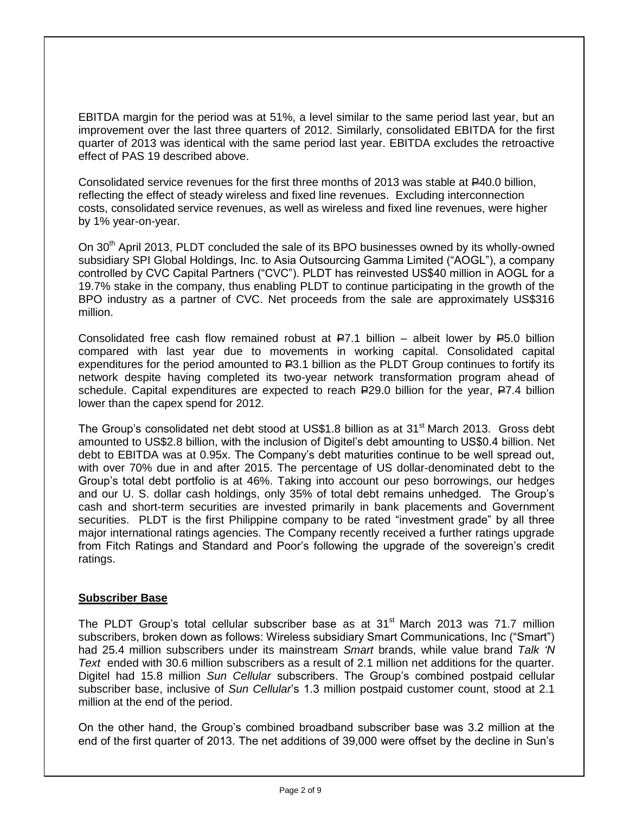EBITDA margin for the period was at 51%, a level similar to the same period last year, but an improvement over the last three quarters of 2012. Similarly, consolidated EBITDA for the first quarter of 2013 was identical with the same period last year. EBITDA excludes the retroactive effect of PAS 19 described above.

Consolidated service revenues for the first three months of 2013 was stable at P40.0 billion, reflecting the effect of steady wireless and fixed line revenues. Excluding interconnection costs, consolidated service revenues, as well as wireless and fixed line revenues, were higher by 1% year-on-year.

On 30<sup>th</sup> April 2013, PLDT concluded the sale of its BPO businesses owned by its wholly-owned subsidiary SPI Global Holdings, Inc. to Asia Outsourcing Gamma Limited ("AOGL"), a company controlled by CVC Capital Partners ("CVC"). PLDT has reinvested US\$40 million in AOGL for a 19.7% stake in the company, thus enabling PLDT to continue participating in the growth of the BPO industry as a partner of CVC. Net proceeds from the sale are approximately US\$316 million.

Consolidated free cash flow remained robust at  $\overline{P7.1}$  billion – albeit lower by  $\overline{P5.0}$  billion compared with last year due to movements in working capital. Consolidated capital expenditures for the period amounted to  $E3.1$  billion as the PLDT Group continues to fortify its network despite having completed its two-year network transformation program ahead of schedule. Capital expenditures are expected to reach  $E$ 29.0 billion for the year,  $E$ 7.4 billion lower than the capex spend for 2012.

The Group's consolidated net debt stood at US\$1.8 billion as at 31<sup>st</sup> March 2013. Gross debt amounted to US\$2.8 billion, with the inclusion of Digitel's debt amounting to US\$0.4 billion. Net debt to EBITDA was at 0.95x. The Company's debt maturities continue to be well spread out, with over 70% due in and after 2015. The percentage of US dollar-denominated debt to the Group's total debt portfolio is at 46%. Taking into account our peso borrowings, our hedges and our U. S. dollar cash holdings, only 35% of total debt remains unhedged. The Group's cash and short-term securities are invested primarily in bank placements and Government securities. PLDT is the first Philippine company to be rated "investment grade" by all three major international ratings agencies. The Company recently received a further ratings upgrade from Fitch Ratings and Standard and Poor's following the upgrade of the sovereign's credit ratings.

## **Subscriber Base**

The PLDT Group's total cellular subscriber base as at  $31<sup>st</sup>$  March 2013 was 71.7 million subscribers, broken down as follows: Wireless subsidiary Smart Communications, Inc ("Smart") had 25.4 million subscribers under its mainstream *Smart* brands, while value brand *Talk "N Text* ended with 30.6 million subscribers as a result of 2.1 million net additions for the quarter. Digitel had 15.8 million *Sun Cellular* subscribers. The Group's combined postpaid cellular subscriber base, inclusive of *Sun Cellular*'s 1.3 million postpaid customer count, stood at 2.1 million at the end of the period.

On the other hand, the Group's combined broadband subscriber base was 3.2 million at the end of the first quarter of 2013. The net additions of 39,000 were offset by the decline in Sun's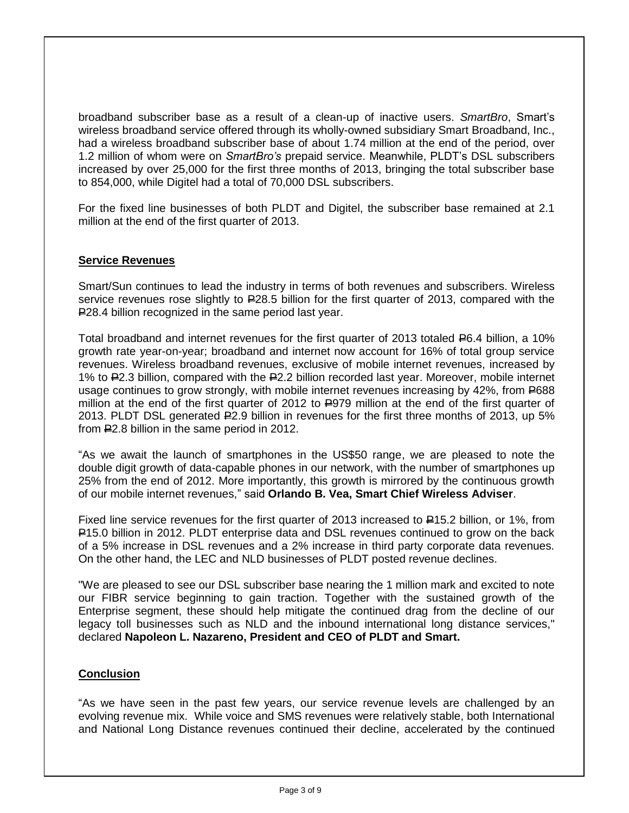broadband subscriber base as a result of a clean-up of inactive users. *SmartBro*, Smart's wireless broadband service offered through its wholly-owned subsidiary Smart Broadband, Inc., had a wireless broadband subscriber base of about 1.74 million at the end of the period, over 1.2 million of whom were on *SmartBro"s* prepaid service. Meanwhile, PLDT's DSL subscribers increased by over 25,000 for the first three months of 2013, bringing the total subscriber base to 854,000, while Digitel had a total of 70,000 DSL subscribers.

For the fixed line businesses of both PLDT and Digitel, the subscriber base remained at 2.1 million at the end of the first quarter of 2013.

## **Service Revenues**

Smart/Sun continues to lead the industry in terms of both revenues and subscribers. Wireless service revenues rose slightly to  $E$ 28.5 billion for the first quarter of 2013, compared with the P28.4 billion recognized in the same period last year.

Total broadband and internet revenues for the first quarter of 2013 totaled P6.4 billion, a 10% growth rate year-on-year; broadband and internet now account for 16% of total group service revenues. Wireless broadband revenues, exclusive of mobile internet revenues, increased by 1% to P2.3 billion, compared with the P2.2 billion recorded last year. Moreover, mobile internet usage continues to grow strongly, with mobile internet revenues increasing by 42%, from P688 million at the end of the first quarter of 2012 to 2979 million at the end of the first quarter of 2013. PLDT DSL generated P2.9 billion in revenues for the first three months of 2013, up 5% from P2.8 billion in the same period in 2012.

"As we await the launch of smartphones in the US\$50 range, we are pleased to note the double digit growth of data-capable phones in our network, with the number of smartphones up 25% from the end of 2012. More importantly, this growth is mirrored by the continuous growth of our mobile internet revenues," said **Orlando B. Vea, Smart Chief Wireless Adviser**.

Fixed line service revenues for the first quarter of 2013 increased to  $\textsf{P}15.2$  billion, or 1%, from P15.0 billion in 2012. PLDT enterprise data and DSL revenues continued to grow on the back of a 5% increase in DSL revenues and a 2% increase in third party corporate data revenues. On the other hand, the LEC and NLD businesses of PLDT posted revenue declines.

"We are pleased to see our DSL subscriber base nearing the 1 million mark and excited to note our FIBR service beginning to gain traction. Together with the sustained growth of the Enterprise segment, these should help mitigate the continued drag from the decline of our legacy toll businesses such as NLD and the inbound international long distance services," declared **Napoleon L. Nazareno, President and CEO of PLDT and Smart.**

### **Conclusion**

"As we have seen in the past few years, our service revenue levels are challenged by an evolving revenue mix. While voice and SMS revenues were relatively stable, both International and National Long Distance revenues continued their decline, accelerated by the continued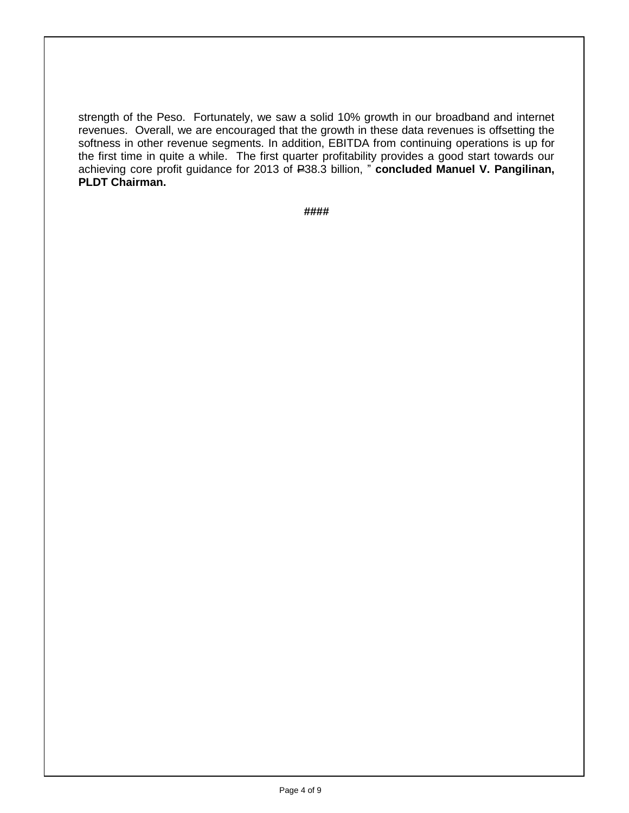strength of the Peso. Fortunately, we saw a solid 10% growth in our broadband and internet revenues. Overall, we are encouraged that the growth in these data revenues is offsetting the softness in other revenue segments. In addition, EBITDA from continuing operations is up for the first time in quite a while. The first quarter profitability provides a good start towards our achieving core profit guidance for 2013 of P38.3 billion, " **concluded Manuel V. Pangilinan**, **PLDT Chairman.**

**####**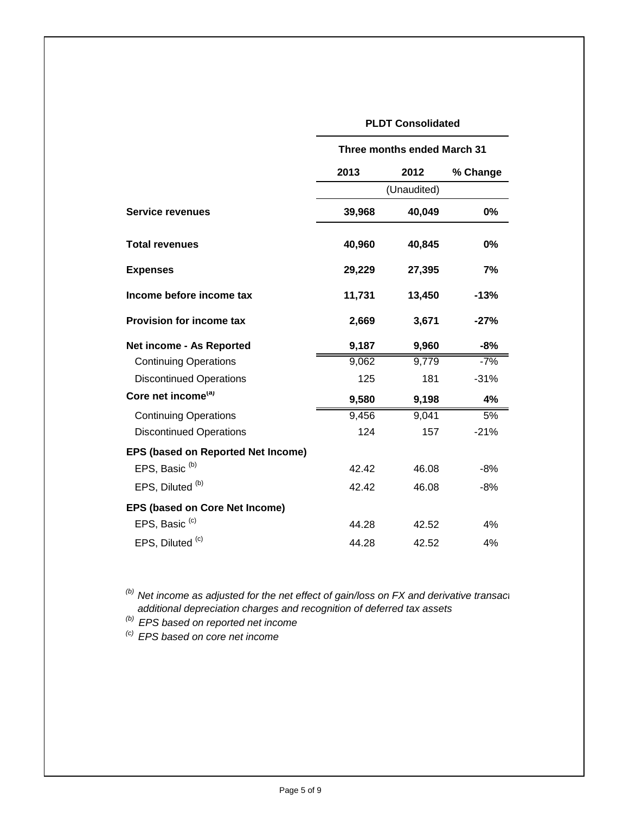## **PLDT Consolidated**

|                                           | Three months ended March 31 |        |          |
|-------------------------------------------|-----------------------------|--------|----------|
|                                           | 2013                        | 2012   | % Change |
|                                           | (Unaudited)                 |        |          |
| <b>Service revenues</b>                   | 39,968                      | 40,049 | 0%       |
| <b>Total revenues</b>                     | 40,960                      | 40,845 | 0%       |
| <b>Expenses</b>                           | 29,229                      | 27,395 | 7%       |
| Income before income tax                  | 11,731                      | 13,450 | $-13%$   |
| <b>Provision for income tax</b>           | 2,669                       | 3,671  | $-27%$   |
| Net income - As Reported                  | 9,187                       | 9,960  | $-8%$    |
| <b>Continuing Operations</b>              | 9,062                       | 9,779  | $-7%$    |
| <b>Discontinued Operations</b>            | 125                         | 181    | $-31%$   |
| Core net income <sup>(a)</sup>            | 9,580                       | 9,198  | 4%       |
| <b>Continuing Operations</b>              | 9,456                       | 9,041  | 5%       |
| <b>Discontinued Operations</b>            | 124                         | 157    | $-21%$   |
| <b>EPS (based on Reported Net Income)</b> |                             |        |          |
| EPS, Basic <sup>(b)</sup>                 | 42.42                       | 46.08  | $-8%$    |
| EPS, Diluted <sup>(b)</sup>               | 42.42                       | 46.08  | $-8%$    |
| <b>EPS (based on Core Net Income)</b>     |                             |        |          |
| EPS, Basic <sup>(c)</sup>                 | 44.28                       | 42.52  | 4%       |
| EPS, Diluted <sup>(c)</sup>               | 44.28                       | 42.52  | 4%       |

<sup>(b)</sup> Net income as adjusted for the net effect of gain/loss on FX and derivative transactions,  *additional depreciation charges and recognition of deferred tax assets*

*(b) EPS based on reported net income*

*(c) EPS based on core net income*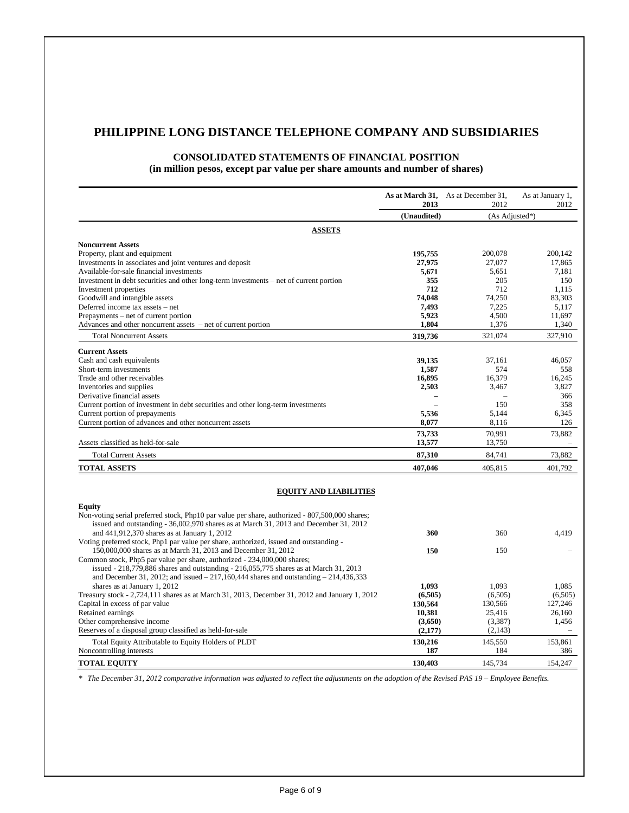# **PHILIPPINE LONG DISTANCE TELEPHONE COMPANY AND SUBSIDIARIES**

#### **CONSOLIDATED STATEMENTS OF FINANCIAL POSITION (in million pesos, except par value per share amounts and number of shares)**

|                                                                                                                                                                   | 2013        | As at March 31, As at December 31,<br>2012 | As at January 1,<br>2012 |
|-------------------------------------------------------------------------------------------------------------------------------------------------------------------|-------------|--------------------------------------------|--------------------------|
|                                                                                                                                                                   | (Unaudited) | (As Adjusted*)                             |                          |
| <b>ASSETS</b>                                                                                                                                                     |             |                                            |                          |
| <b>Noncurrent Assets</b>                                                                                                                                          |             |                                            |                          |
| Property, plant and equipment                                                                                                                                     | 195,755     | 200,078                                    | 200,142                  |
| Investments in associates and joint ventures and deposit                                                                                                          | 27,975      | 27,077                                     | 17,865                   |
| Available-for-sale financial investments                                                                                                                          | 5,671       | 5,651                                      | 7,181                    |
| Investment in debt securities and other long-term investments – net of current portion                                                                            | 355         | 205                                        | 150                      |
| Investment properties                                                                                                                                             | 712         | 712                                        | 1,115                    |
| Goodwill and intangible assets                                                                                                                                    | 74.048      | 74,250                                     | 83,303                   |
| Deferred income tax assets - net                                                                                                                                  | 7,493       | 7,225                                      | 5,117                    |
| Prepayments – net of current portion                                                                                                                              | 5,923       | 4,500                                      | 11,697                   |
| Advances and other noncurrent assets – net of current portion                                                                                                     | 1,804       | 1,376                                      | 1,340                    |
| <b>Total Noncurrent Assets</b>                                                                                                                                    | 319,736     | 321,074                                    | 327,910                  |
| <b>Current Assets</b>                                                                                                                                             |             |                                            |                          |
| Cash and cash equivalents                                                                                                                                         | 39,135      | 37,161                                     | 46.057                   |
| Short-term investments                                                                                                                                            | 1,587       | 574                                        | 558                      |
| Trade and other receivables                                                                                                                                       | 16,895      | 16,379                                     | 16,245                   |
| Inventories and supplies                                                                                                                                          | 2,503       | 3,467                                      | 3,827                    |
| Derivative financial assets                                                                                                                                       |             |                                            | 366                      |
| Current portion of investment in debt securities and other long-term investments                                                                                  |             | 150                                        | 358                      |
| Current portion of prepayments                                                                                                                                    | 5,536       | 5,144                                      | 6,345                    |
| Current portion of advances and other noncurrent assets                                                                                                           | 8,077       | 8,116                                      | 126                      |
|                                                                                                                                                                   | 73,733      | 70,991                                     | 73,882                   |
| Assets classified as held-for-sale                                                                                                                                | 13,577      | 13,750                                     | $\overline{\phantom{a}}$ |
| <b>Total Current Assets</b>                                                                                                                                       | 87,310      | 84,741                                     | 73,882                   |
| <b>TOTAL ASSETS</b>                                                                                                                                               | 407,046     | 405,815                                    | 401,792                  |
|                                                                                                                                                                   |             |                                            |                          |
| <b>EQUITY AND LIABILITIES</b>                                                                                                                                     |             |                                            |                          |
| <b>Equity</b>                                                                                                                                                     |             |                                            |                          |
| Non-voting serial preferred stock, Php10 par value per share, authorized - 807,500,000 shares;                                                                    |             |                                            |                          |
| issued and outstanding - 36,002,970 shares as at March 31, 2013 and December 31, 2012                                                                             |             |                                            |                          |
| and 441,912,370 shares as at January 1, 2012                                                                                                                      | 360         | 360                                        | 4.419                    |
| Voting preferred stock, Php1 par value per share, authorized, issued and outstanding -                                                                            |             |                                            |                          |
| 150,000,000 shares as at March 31, 2013 and December 31, 2012                                                                                                     | 150         | 150                                        |                          |
| Common stock, Php5 par value per share, authorized - 234,000,000 shares;<br>issued - 218,779,886 shares and outstanding - 216,055,775 shares as at March 31, 2013 |             |                                            |                          |
| and December 31, 2012; and issued $-217,160,444$ shares and outstanding $-214,436,333$                                                                            |             |                                            |                          |
| shares as at January 1, 2012                                                                                                                                      | 1.093       | 1,093                                      | 1.085                    |
| Treasury stock - 2,724,111 shares as at March 31, 2013, December 31, 2012 and January 1, 2012                                                                     | (6,505)     | (6,505)                                    | (6,505)                  |
| Capital in excess of par value                                                                                                                                    | 130,564     | 130,566                                    | 127.246                  |
| Retained earnings                                                                                                                                                 | 10,381      | 25,416                                     | 26,160                   |
| Other comprehensive income                                                                                                                                        | (3,650)     | (3,387)                                    | 1,456                    |
| Reserves of a disposal group classified as held-for-sale                                                                                                          | (2,177)     | (2,143)                                    |                          |
| Total Equity Attributable to Equity Holders of PLDT                                                                                                               | 130,216     | 145,550                                    | 153,861                  |
| Noncontrolling interests                                                                                                                                          | 187         | 184                                        | 386                      |
|                                                                                                                                                                   |             |                                            |                          |
| <b>TOTAL EQUITY</b>                                                                                                                                               | 130,403     | 145,734                                    | 154,247                  |

*\* The December 31, 2012 comparative information was adjusted to reflect the adjustments on the adoption of the Revised PAS 19 – Employee Benefits.*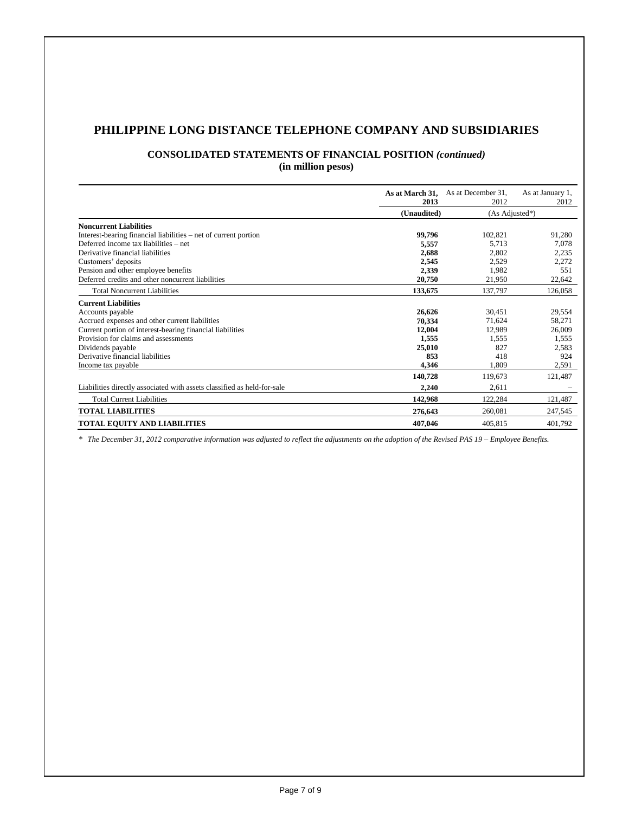# **PHILIPPINE LONG DISTANCE TELEPHONE COMPANY AND SUBSIDIARIES**

# **CONSOLIDATED STATEMENTS OF FINANCIAL POSITION** *(continued)*

**(in million pesos)**

|                                                                         | As at March 31,<br>2013       | As at December 31,<br>2012 | As at January 1,<br>2012 |
|-------------------------------------------------------------------------|-------------------------------|----------------------------|--------------------------|
|                                                                         | (Unaudited)<br>(As Adjusted*) |                            |                          |
| <b>Noncurrent Liabilities</b>                                           |                               |                            |                          |
| Interest-bearing financial liabilities – net of current portion         | 99,796                        | 102,821                    | 91,280                   |
| Deferred income tax liabilities – net                                   | 5,557                         | 5.713                      | 7,078                    |
| Derivative financial liabilities                                        | 2,688                         | 2,802                      | 2,235                    |
| Customers' deposits                                                     | 2,545                         | 2,529                      | 2,272                    |
| Pension and other employee benefits                                     | 2,339                         | 1,982                      | 551                      |
| Deferred credits and other noncurrent liabilities                       | 20,750                        | 21,950                     | 22,642                   |
| <b>Total Noncurrent Liabilities</b>                                     | 133,675                       | 137,797                    | 126,058                  |
| <b>Current Liabilities</b>                                              |                               |                            |                          |
| Accounts payable                                                        | 26,626                        | 30,451                     | 29,554                   |
| Accrued expenses and other current liabilities                          | 70,334                        | 71,624                     | 58,271                   |
| Current portion of interest-bearing financial liabilities               | 12,004                        | 12,989                     | 26,009                   |
| Provision for claims and assessments                                    | 1,555                         | 1,555                      | 1,555                    |
| Dividends payable                                                       | 25,010                        | 827                        | 2,583                    |
| Derivative financial liabilities                                        | 853                           | 418                        | 924                      |
| Income tax payable                                                      | 4,346                         | 1,809                      | 2,591                    |
|                                                                         | 140,728                       | 119,673                    | 121,487                  |
| Liabilities directly associated with assets classified as held-for-sale | 2,240                         | 2,611                      |                          |
| <b>Total Current Liabilities</b>                                        | 142,968                       | 122,284                    | 121,487                  |
| <b>TOTAL LIABILITIES</b>                                                | 276,643                       | 260,081                    | 247,545                  |
| <b>TOTAL EQUITY AND LIABILITIES</b>                                     | 407,046                       | 405.815                    | 401,792                  |

*\* The December 31, 2012 comparative information was adjusted to reflect the adjustments on the adoption of the Revised PAS 19 – Employee Benefits.*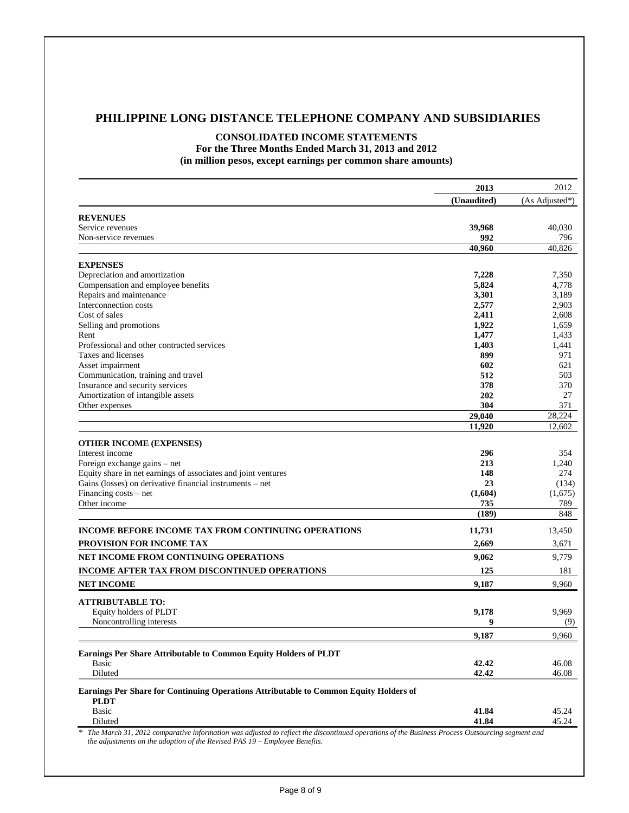## **PHILIPPINE LONG DISTANCE TELEPHONE COMPANY AND SUBSIDIARIES**

# **CONSOLIDATED INCOME STATEMENTS**

**For the Three Months Ended March 31, 2013 and 2012 (in million pesos, except earnings per common share amounts)**

|                                                                                       | 2013                                                                                                                                                      | 2012           |
|---------------------------------------------------------------------------------------|-----------------------------------------------------------------------------------------------------------------------------------------------------------|----------------|
|                                                                                       | (Unaudited)                                                                                                                                               | (As Adjusted*) |
| <b>REVENUES</b>                                                                       |                                                                                                                                                           |                |
| Service revenues                                                                      | 39,968                                                                                                                                                    | 40,030         |
| Non-service revenues                                                                  | 992                                                                                                                                                       | 796            |
|                                                                                       | 40.960                                                                                                                                                    | 40,826         |
| <b>EXPENSES</b>                                                                       |                                                                                                                                                           |                |
| Depreciation and amortization                                                         | 7,228                                                                                                                                                     | 7,350          |
| Compensation and employee benefits                                                    | 5,824                                                                                                                                                     | 4,778          |
| Repairs and maintenance                                                               | 3,301                                                                                                                                                     | 3,189          |
| Interconnection costs                                                                 | 2,577                                                                                                                                                     | 2,903          |
| Cost of sales                                                                         | 2,411                                                                                                                                                     | 2,608          |
| Selling and promotions                                                                | 1,922                                                                                                                                                     | 1,659          |
| Rent                                                                                  | 1,477                                                                                                                                                     | 1,433          |
| Professional and other contracted services                                            | 1,403                                                                                                                                                     | 1,441          |
| Taxes and licenses                                                                    | 899                                                                                                                                                       | 971            |
| Asset impairment                                                                      | 602                                                                                                                                                       | 621            |
| Communication, training and travel                                                    | 512                                                                                                                                                       | 503            |
| Insurance and security services                                                       | 378                                                                                                                                                       | 370            |
| Amortization of intangible assets                                                     | 202                                                                                                                                                       | 27             |
| Other expenses                                                                        | 304                                                                                                                                                       | 371            |
|                                                                                       | 29,040                                                                                                                                                    | 28,224         |
|                                                                                       | 11.920                                                                                                                                                    | 12,602         |
| <b>OTHER INCOME (EXPENSES)</b>                                                        |                                                                                                                                                           |                |
| Interest income                                                                       | 296                                                                                                                                                       | 354            |
| Foreign exchange gains - net                                                          | 213                                                                                                                                                       | 1,240          |
| Equity share in net earnings of associates and joint ventures                         | 148                                                                                                                                                       | 274            |
| Gains (losses) on derivative financial instruments – net                              | 23                                                                                                                                                        | (134)          |
| Financing costs – net                                                                 | (1,604)                                                                                                                                                   | (1,675)        |
| Other income                                                                          | 735                                                                                                                                                       | 789            |
|                                                                                       | (189)                                                                                                                                                     | 848            |
| <b>INCOME BEFORE INCOME TAX FROM CONTINUING OPERATIONS</b>                            | 11,731                                                                                                                                                    | 13,450         |
| PROVISION FOR INCOME TAX                                                              | 2,669                                                                                                                                                     | 3,671          |
| NET INCOME FROM CONTINUING OPERATIONS                                                 | 9,062                                                                                                                                                     | 9,779          |
|                                                                                       | 125                                                                                                                                                       | 181            |
| INCOME AFTER TAX FROM DISCONTINUED OPERATIONS                                         |                                                                                                                                                           |                |
| <b>NET INCOME</b>                                                                     | 9,187                                                                                                                                                     | 9,960          |
| <b>ATTRIBUTABLE TO:</b>                                                               |                                                                                                                                                           |                |
| Equity holders of PLDT                                                                | 9,178                                                                                                                                                     | 9,969          |
| Noncontrolling interests                                                              | 9                                                                                                                                                         | (9)            |
|                                                                                       | 9,187                                                                                                                                                     | 9.960          |
| Earnings Per Share Attributable to Common Equity Holders of PLDT                      |                                                                                                                                                           |                |
| Basic                                                                                 | 42.42                                                                                                                                                     | 46.08          |
| Diluted                                                                               | 42.42                                                                                                                                                     | 46.08          |
| Earnings Per Share for Continuing Operations Attributable to Common Equity Holders of |                                                                                                                                                           |                |
| <b>PLDT</b>                                                                           |                                                                                                                                                           |                |
| <b>Basic</b>                                                                          | 41.84                                                                                                                                                     | 45.24          |
| Diluted                                                                               | 41.84<br>* The March 31, 2012 comparative information was adjusted to reflect the discontinued operations of the Business Process Outsourcing segment and | 45.24          |

*the adjustments on the adoption of the Revised PAS 19 – Employee Benefits.*